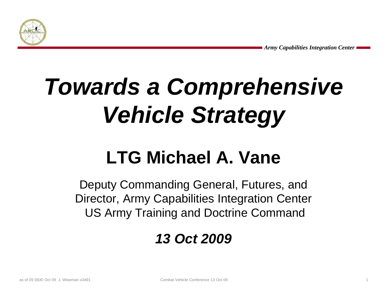

# *Towards a* **Comprehensive** *Vehicle Strategy*

# **LTG Michael A. Vane**

Deputy Commanding General, Futures, and Director, Army Capabilities Integration Center US Army Training and Doctrine Command

## *13 Oct 2009*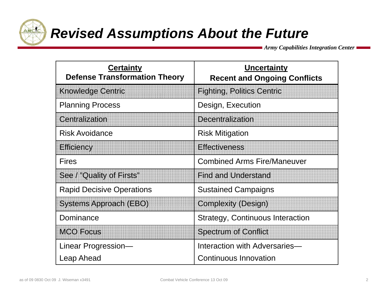

# *Revised Assumptions About the Future*

*Army Capabilities Integration Center*

| <b>Certainty</b><br><b>Defense Transformation Theory</b> | <b>Uncertainty</b><br><b>Recent and Ongoing Conflicts</b> |
|----------------------------------------------------------|-----------------------------------------------------------|
| <b>Knowledge Centric</b>                                 | <b>Fighting, Politics Centric</b>                         |
| <b>Planning Process</b>                                  | Design, Execution                                         |
| Centralization                                           | <b>Decentralization</b>                                   |
| <b>Risk Avoidance</b>                                    | <b>Risk Mitigation</b>                                    |
| <b>Efficiency</b>                                        | <b>Effectiveness</b>                                      |
| <b>Fires</b>                                             | <b>Combined Arms Fire/Maneuver</b>                        |
| See / "Quality of Firsts"                                | <b>Find and Understand</b>                                |
| <b>Rapid Decisive Operations</b>                         | <b>Sustained Campaigns</b>                                |
| <b>Systems Approach (EBO)</b>                            | <b>Complexity (Design)</b>                                |
| Dominance                                                | <b>Strategy, Continuous Interaction</b>                   |
| <b>MCO Focus</b>                                         | <b>Spectrum of Conflict</b>                               |
| Linear Progression-                                      | Interaction with Adversaries-                             |
| <b>Leap Ahead</b>                                        | <b>Continuous Innovation</b>                              |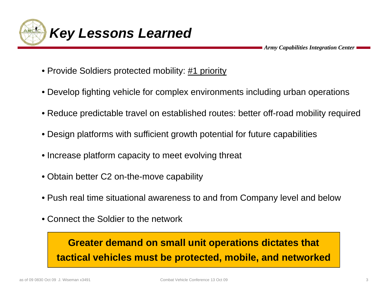

- Provide Soldiers protected mobility: #1 priority
- Develop fighting vehicle for complex environments including urban operations
- Reduce predictable travel on established routes: better off-road mobility required
- $\bullet$  Design platforms with sufficient growth potential for future capabilities
- Increase platform capacity to meet evolving threat
- Obtain better C2 on-the-move capability
- Push real time situational awareness to and from Company level and below
- Connect the Soldier to the network

## **Greater demand on small unit operations dictates that tactical vehicles must be protected, mobile, and networked**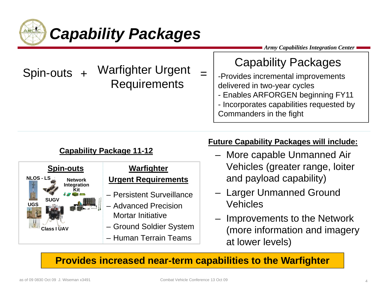

## Capability Packages

- Spin-outs + Warfighter Urgent Requirements =
	- -Provides incremental improvements delivered in two-year cycles
		- Enables ARFORGEN beginning FY11
		- Incorporates capabilities requested by Commanders in the fight

#### **Capability Package 11-12**



#### **Future Capability Packages will include:**

- More capable Unmanned Air and payload capability)
- Larger Unmanned Ground
- Improvements to the Network (more information and imagery at lower levels)

**Provides increased near-term capabilities to the Warfighter**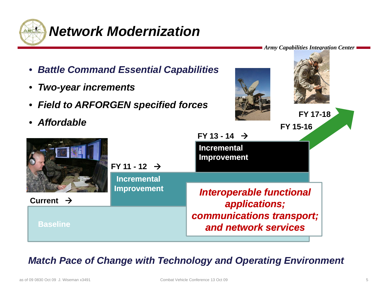



### *Match Pace of Change with Technology and Operating Environment*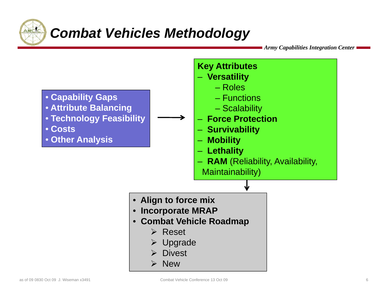

## *Combat Vehicles Methodology*

*Army Capabilities Integration Center*

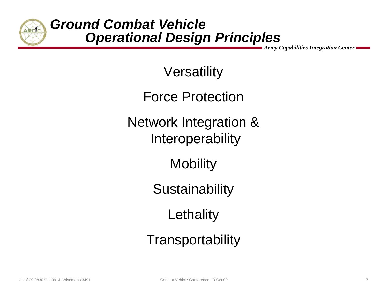

**Versatility** 

Force Protection

Network Integration & Interoperability

Mobility

**Sustainability** 

**Lethality** 

**Transportability**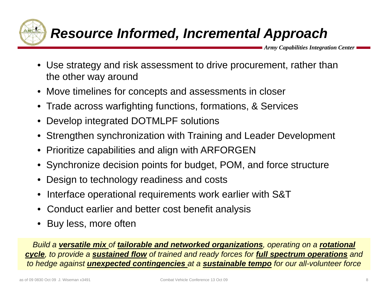

## *Resource Informed, Incremental Approach*

*Army Capabilities Integration Center*

- Use strategy and risk assessment to drive procurement, rather than the other way around
- $\bullet~$  Move timelines for concepts and assessments in closer
- Trade across warfighting functions, formations, & Services
- Develop integrated DOTMLPF solutions
- Strengthen synchronization with Training and Leader Development
- Prioritize capabilities and align with ARFORGEN
- Synchronize decision points for budget, POM, and force structure
- Design to technology readiness and costs
- Interface operational requirements work earlier with S&T
- Conduct earlier and better cost benefit analysis
- •Buy less, more often

<u>Build a **versatile mix** of **tailorable and networked organizations**, operating on a <mark>rotational</mark></u> *cycle, to provide a sustained flow of trained and ready forces for full spectrum operations and to hedge against unexpected contingencies at a sustainable tempo for our all-volunteer force*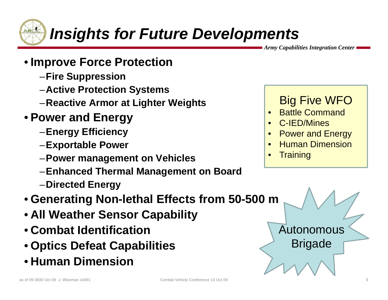

# *Insights for Future Developments*

*Army Capabilities Integration Center*

- **Improve Force Protection**
	- –**Fire Suppression**
	- –**Active Protection Systems**
	- –**Reactive Armor at Lighter Weights**
- **Power and Energy**
	- **Energy Efficiency** – Energy Efficiency – The control of the Power and E
	- –**Exportable Power**
	- –**Power management on Vehicles**
	- **E h d Th l M t B d** –**Enhanced Thermal Management on Board**
	- –**Directed Energy**
- **Generating Non-lethal Effects from 50-500 m**
- **All Weather Sensor Capability**
- **Combat Identification**
- **Optics Defeat Capabilities** Brigade
- **Human Dimension**

## Big Five WFO

- •Battle Command
- •C-IED/Mines
- Power and Energy •
- •Human Dimension
- •**Training**

Autonomous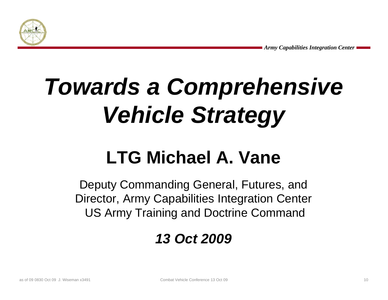

# *Towards a* **Comprehensive** *Vehicle Strategy*

# **LTG Michael A. Vane**

Deputy Commanding General, Futures, and Director, Army Capabilities Integration Center US Army Training and Doctrine Command

## *13 Oct 2009*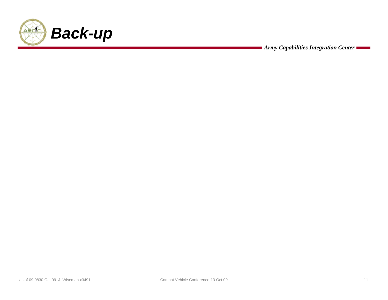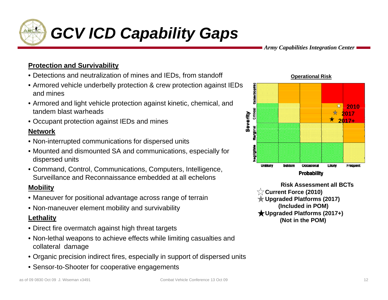

# *GCV ICD Capability Gaps*

*Army Capabilities Integration Center*

#### **Protection and Survivability**

- Detections and neutralization of mines and IEDs, from standoff
- Armored vehicle underbelly protection & crew protection against IEDs and mines
- Armored and light vehicle protection against kinetic, chemical, and tandem blast warheads
- Occupant protection against IEDs and mines

#### **Network**

- Non-interrupted communications for dispersed units
- Mounted and dismounted SA and communications, especially for dispersed units
- Command, Control, Communications, Computers, Intelligence, Surveillance and Reconnaissance embedded at all echelons

#### **Mobility**

- Maneuver for positional advantage across range of terrain
- **Non-maneuver element mobility and survivability <b>bility bility bility** *i* **limits** (Included in POM)

#### **Lethality**

- Direct fire overmatch against high threat targets
- Non-lethal weapons to achieve effects while limiting casualties and collateral damage
- Organic precision indirect fires, especially in support of dispersed units
- Sensor-to-Shooter for cooperative engagements





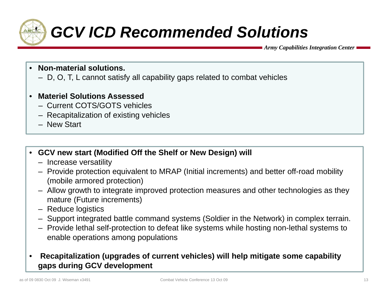

# *GCV ICD Recommended Solutions*

*Army Capabilities Integration Center*

- • **Non-material solutions.** 
	- D, O, T, L cannot satisfy all capability gaps related to combat vehicles
- • **Materiel Solutions Assessed**
	- Current COTS/GOTS vehicles
	- Recapitalization of existing vehicles
	- New Start
- **GCV new start (Modified Off the Shelf or New Design) will** 
	- Increase versatility
	- Provide protection equivalent to MRAP (Initial increments) and better off-road mobility (mobile armored protection)
	- Allow growth to integrate improved protection measures and other technologies as they mature (Future increments)
	- Reduce logistics
	- Support integrated battle command systems (Soldier in the Network) in complex terrain.
	- Provide lethal self-protection to defeat like systems while hosting non-lethal systems to enable operations among populations

#### • **Recapitalization (upgrades of current vehicles) will help mitigate some capability gaps during GCV development**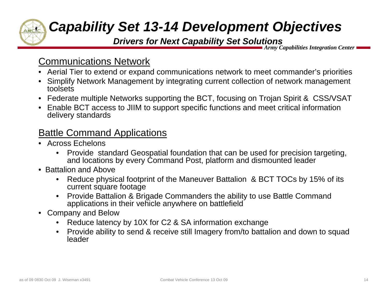## *Capability Set 13-14 Development Objectives*

#### *Drivers for Next Capability Set Solutions*

*Army Capabilities Integration Center*

## Communications Network

- Aerial Tier to extend or expand communications network to meet commander's priorities
- Simplify Network Management by integrating current collection of network management toolsets
- Federate multiple Networks supporting the BCT, focusing on Trojan Spirit & CSS/VSAT
- Enable BCT access to JIIM to support specific functions and meet critical information delivery standards

### <u>Battle Command Applications</u>

- Across Echelons
	- • Provide standard Geospatial foundation that can be used for precision targeting, and locations by every Command Post, platform and dismounted leader
- Battalion and Above
	- • Reduce physical footprint of the Maneuver Battalion & BCT TOCs by 15% of its current square footage
	- • Provide Battalion & Brigade Commanders the ability to use Battle Command applications in their vehicle anywhere on battlefield
- $\bullet$  Company and Below
	- •Reduce latency by 10X for C2 & SA information exchange
	- $\bullet$  Provide ability to send & receive still Imagery from/to battalion and down to squad leader